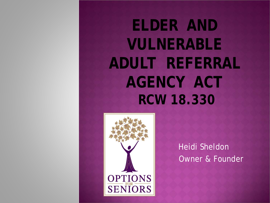**ELDER AND VULNERABLE ADULT REFERRAL AGENCY ACT RCW 18.330**



Heidi Sheldon Owner & Founder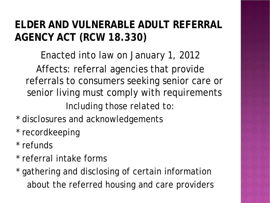#### **ELDER AND VULNERABLE ADULT REFERRAL AGENCY ACT (RCW 18.330)**

Enacted into law on January 1, 2012 Affects: referral agencies that provide referrals to consumers seeking senior care or senior living must comply with requirements

*Including those related to:*

- \* disclosures and acknowledgements
- \* recordkeeping
- \* refunds
- \* referral intake forms
- \* gathering and disclosing of certain information about the referred housing and care providers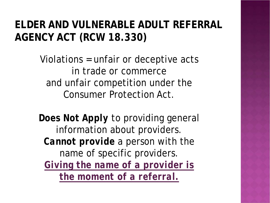#### **ELDER AND VULNERABLE ADULT REFERRAL AGENCY ACT (RCW 18.330)**

Violations = unfair or deceptive acts in trade or commerce and unfair competition under the Consumer Protection Act.

*Does Not Apply* to providing general information about providers. *Cannot provide* a person with the name of specific providers. *Giving the name of a provider is the moment of a referral.*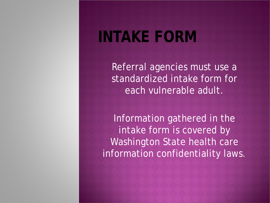### **INTAKE FORM**

Referral agencies must use a standardized intake form for each vulnerable adult.

Information gathered in the intake form is covered by Washington State health care information confidentiality laws.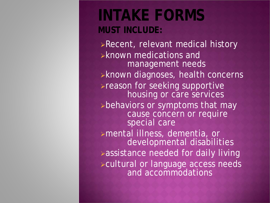### **INTAKE FORMS MUST INCLUDE:**

Recent, relevant medical history known medications and management needs **>known diagnoses, health concerns >reason for seeking supportive** housing or care services behaviors or symptoms that may cause concern or require special care mental illness, dementia, or developmental disabilities **>assistance needed for daily living** cultural or language access needs and accommodations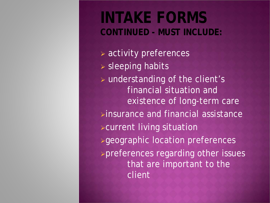### **INTAKE FORMS CONTINUED - MUST INCLUDE:**

 activity preferences  $\triangleright$  sleeping habits understanding of the client's financial situation and existence of long-term care  $\triangleright$  insurance and financial assistance current living situation **>geographic location preferences** preferences regarding other issues that are important to the client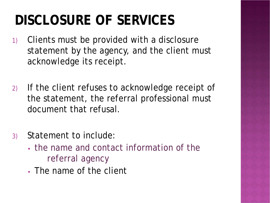## **DISCLOSURE OF SERVICES**

- 1) Clients must be provided with a disclosure statement by the agency, and the client must acknowledge its receipt.
- 2) If the client refuses to acknowledge receipt of the statement, the referral professional must document that refusal.
- 3) Statement to include:
	- the name and contact information of the referral agency
	- The name of the client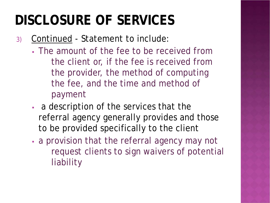## **DISCLOSURE OF SERVICES**

- 3) Continued Statement to include:
	- The amount of the fee to be received from the client or, if the fee is received from the provider, the method of computing the fee, and the time and method of payment
	- a description of the services that the referral agency generally provides and those to be provided specifically to the client
	- a provision that the referral agency may not request clients to sign waivers of potential liability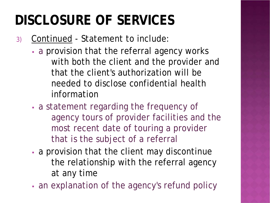## **DISCLOSURE OF SERVICES**

3) Continued - Statement to include:

- a provision that the referral agency works with both the client and the provider and that the client's authorization will be needed to disclose confidential health information
- a statement regarding the frequency of agency tours of provider facilities and the most recent date of touring a provider that is the subject of a referral
- a provision that the client may discontinue the relationship with the referral agency at any time
- an explanation of the agency's refund policy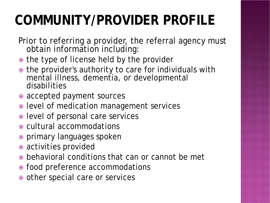# **COMMUNITY/PROVIDER PROFILE**

- Prior to referring a provider, the referral agency must obtain information including:
- $\bullet$  the type of license held by the provider
- $\bullet$  the provider's authority to care for individuals with mental illness, dementia, or developmental disabilities
- accepted payment sources
- level of medication management services
- level of personal care services
- cultural accommodations
- primary languages spoken
- activities provided
- behavioral conditions that can or cannot be met
- food preference accommodations
- other special care or services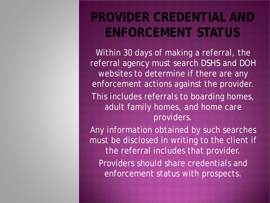### **PROVIDER CREDENTIAL AND ENFORCEMENT STATUS**

Within 30 days of making a referral, the referral agency must search DSHS and DOH websites to determine if there are any enforcement actions against the provider. This includes referrals to boarding homes, adult family homes, and home care providers.

Any information obtained by such searches must be disclosed in writing to the client if the referral includes that provider. Providers should share credentials and enforcement status with prospects.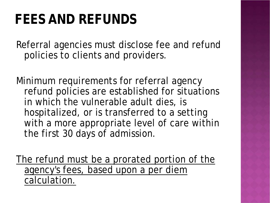### **FEES AND REFUNDS**

Referral agencies must disclose fee and refund policies to clients and providers.

Minimum requirements for referral agency refund policies are established for situations in which the vulnerable adult dies, is hospitalized, or is transferred to a setting with a more appropriate level of care within the first 30 days of admission.

The refund must be a prorated portion of the agency's fees, based upon a per diem calculation.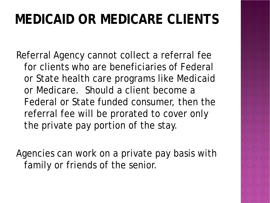### **MEDICAID OR MEDICARE CLIENTS**

Referral Agency cannot collect a referral fee for clients who are beneficiaries of Federal or State health care programs like Medicaid or Medicare. Should a client become a Federal or State funded consumer, then the referral fee will be prorated to cover only the private pay portion of the stay.

Agencies can work on a private pay basis with family or friends of the senior.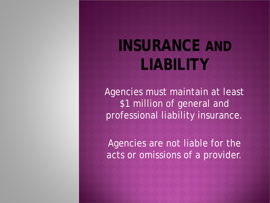# **INSURANCE AND LIABILITY**

Agencies must maintain at least \$1 million of general and professional liability insurance.

Agencies are not liable for the acts or omissions of a provider.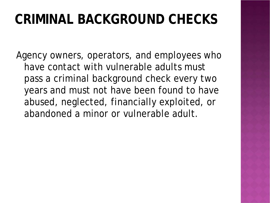### **CRIMINAL BACKGROUND CHECKS**

Agency owners, operators, and employees who have contact with vulnerable adults must pass a criminal background check every two years and must not have been found to have abused, neglected, financially exploited, or abandoned a minor or vulnerable adult.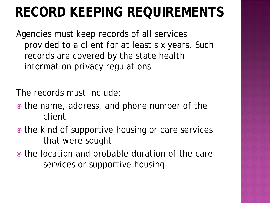## **RECORD KEEPING REQUIREMENTS**

Agencies must keep records of all services provided to a client for at least six years. Such records are covered by the state health information privacy regulations.

The records must include:

- the name, address, and phone number of the client
- the kind of supportive housing or care services that were sought
- the location and probable duration of the care services or supportive housing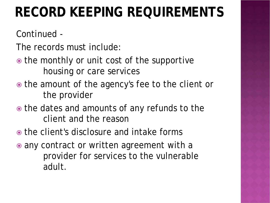### **RECORD KEEPING REQUIREMENTS**

Continued -

- The records must include:
- the monthly or unit cost of the supportive housing or care services
- the amount of the agency's fee to the client or the provider
- $\bullet$  the dates and amounts of any refunds to the client and the reason
- the client's disclosure and intake forms
- any contract or written agreement with a provider for services to the vulnerable adult.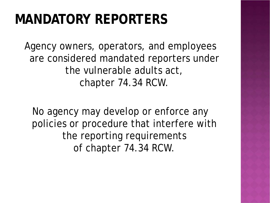### **MANDATORY REPORTERS**

Agency owners, operators, and employees are considered mandated reporters under the vulnerable adults act, chapter 74.34 RCW.

No agency may develop or enforce any policies or procedure that interfere with the reporting requirements of chapter 74.34 RCW.